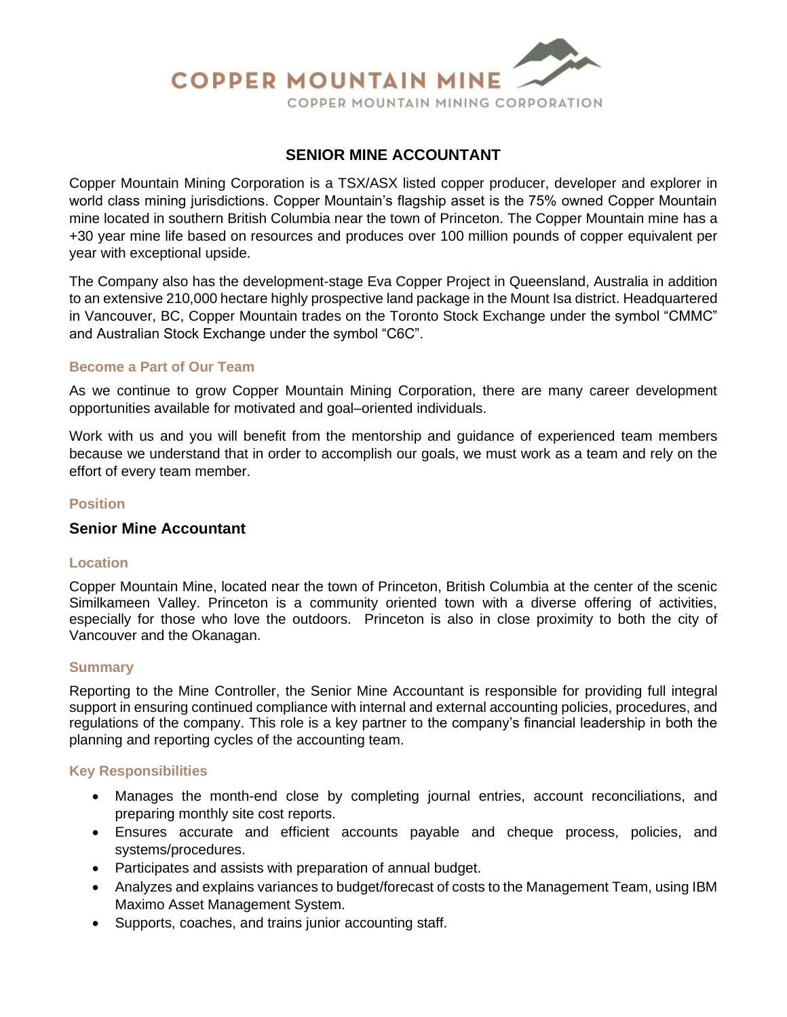

# **SENIOR MINE ACCOUNTANT**

Copper Mountain Mining Corporation is a TSX/ASX listed copper producer, developer and explorer in world class mining jurisdictions. Copper Mountain's flagship asset is the 75% owned Copper Mountain mine located in southern British Columbia near the town of Princeton. The Copper Mountain mine has a +30 year mine life based on resources and produces over 100 million pounds of copper equivalent per year with exceptional upside.

The Company also has the development-stage Eva Copper Project in Queensland, Australia in addition to an extensive 210,000 hectare highly prospective land package in the Mount Isa district. Headquartered in Vancouver, BC, Copper Mountain trades on the Toronto Stock Exchange under the symbol "CMMC" and Australian Stock Exchange under the symbol "C6C".

### **Become a Part of Our Team**

As we continue to grow Copper Mountain Mining Corporation, there are many career development opportunities available for motivated and goal–oriented individuals.

Work with us and you will benefit from the mentorship and guidance of experienced team members because we understand that in order to accomplish our goals, we must work as a team and rely on the effort of every team member.

### **Position**

#### **Senior Mine Accountant**

#### **Location**

Copper Mountain Mine, located near the town of Princeton, British Columbia at the center of the scenic Similkameen Valley. Princeton is a community oriented town with a diverse offering of activities, especially for those who love the outdoors. Princeton is also in close proximity to both the city of Vancouver and the Okanagan.

#### **Summary**

Reporting to the Mine Controller, the Senior Mine Accountant is responsible for providing full integral support in ensuring continued compliance with internal and external accounting policies, procedures, and regulations of the company. This role is a key partner to the company's financial leadership in both the planning and reporting cycles of the accounting team.

#### **Key Responsibilities**

- Manages the month-end close by completing journal entries, account reconciliations, and preparing monthly site cost reports.
- Ensures accurate and efficient accounts payable and cheque process, policies, and systems/procedures.
- Participates and assists with preparation of annual budget.
- Analyzes and explains variances to budget/forecast of costs to the Management Team, using IBM Maximo Asset Management System.
- Supports, coaches, and trains junior accounting staff.